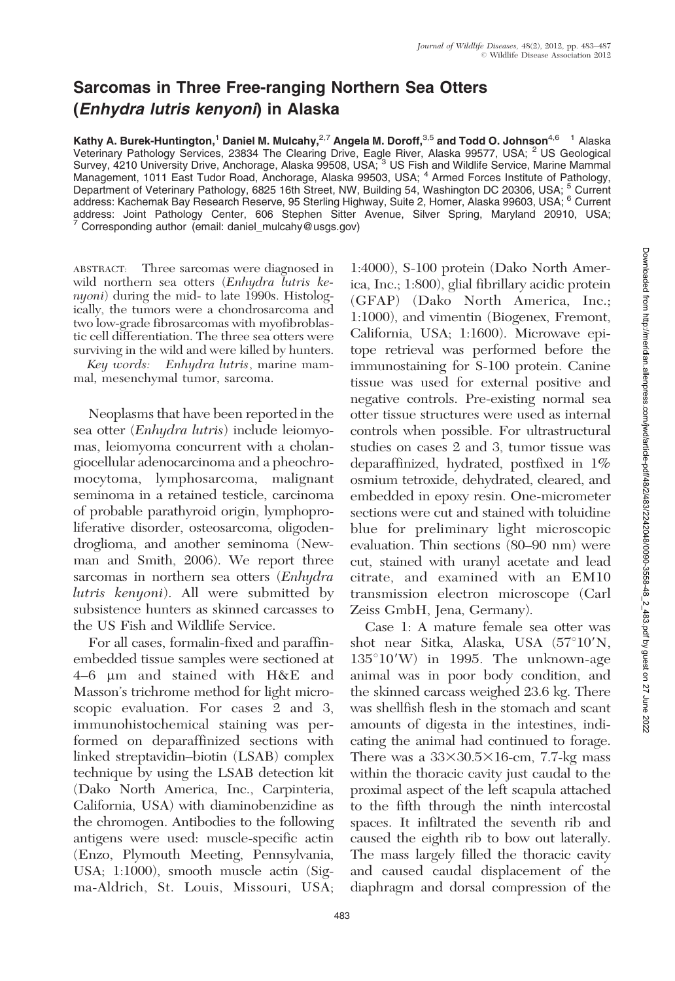## Sarcomas in Three Free-ranging Northern Sea Otters (Enhydra lutris kenyoni) in Alaska

Kathy A. Burek-Huntington,<sup>1</sup> Daniel M. Mulcahy,<sup>2,7</sup> Angela M. Doroff,<sup>3,5</sup> and Todd O. Johnson<sup>4,6</sup> <sup>1</sup> Alaska Veterinary Pathology Services, 23834 The Clearing Drive, Eagle River, Alaska 99577, USA; <sup>2</sup> US Geological Survey, 4210 University Drive, Anchorage, Alaska 99508, USA; <sup>3</sup> US Fish and Wildlife Service, Marine Mammal Management, 1011 East Tudor Road, Anchorage, Alaska 99503, USA; <sup>4</sup> Armed Forces Institute of Pathology, Department of Veterinary Pathology, 6825 16th Street, NW, Building 54, Washington DC 20306, USA; <sup>5</sup> Current address: Kachemak Bay Research Reserve, 95 Sterling Highway, Suite 2, Homer, Alaska 99603, USA; <sup>6</sup> Current address: Joint Pathology Center, 606 Stephen Sitter Avenue, Silver Spring, Maryland 20910, USA;  $7$  Corresponding author (email: daniel mulcahy@usgs.gov)

ABSTRACT: Three sarcomas were diagnosed in wild northern sea otters (Enhydra lutris kenyoni) during the mid- to late 1990s. Histologically, the tumors were a chondrosarcoma and two low-grade fibrosarcomas with myofibroblastic cell differentiation. The three sea otters were surviving in the wild and were killed by hunters.

Key words: Enhydra lutris, marine mammal, mesenchymal tumor, sarcoma.

Neoplasms that have been reported in the sea otter (Enhydra lutris) include leiomyomas, leiomyoma concurrent with a cholangiocellular adenocarcinoma and a pheochromocytoma, lymphosarcoma, malignant seminoma in a retained testicle, carcinoma of probable parathyroid origin, lymphoproliferative disorder, osteosarcoma, oligodendroglioma, and another seminoma (Newman and Smith, 2006). We report three sarcomas in northern sea otters (Enhydra lutris kenyoni). All were submitted by subsistence hunters as skinned carcasses to the US Fish and Wildlife Service.

For all cases, formalin-fixed and paraffinembedded tissue samples were sectioned at 4–6 mm and stained with H&E and Masson's trichrome method for light microscopic evaluation. For cases 2 and 3, immunohistochemical staining was performed on deparaffinized sections with linked streptavidin–biotin (LSAB) complex technique by using the LSAB detection kit (Dako North America, Inc., Carpinteria, California, USA) with diaminobenzidine as the chromogen. Antibodies to the following antigens were used: muscle-specific actin (Enzo, Plymouth Meeting, Pennsylvania, USA; 1:1000), smooth muscle actin (Sigma-Aldrich, St. Louis, Missouri, USA; 1:4000), S-100 protein (Dako North America, Inc.; 1:800), glial fibrillary acidic protein (GFAP) (Dako North America, Inc.; 1:1000), and vimentin (Biogenex, Fremont, California, USA; 1:1600). Microwave epitope retrieval was performed before the immunostaining for S-100 protein. Canine tissue was used for external positive and negative controls. Pre-existing normal sea otter tissue structures were used as internal controls when possible. For ultrastructural studies on cases 2 and 3, tumor tissue was deparaffinized, hydrated, postfixed in 1% osmium tetroxide, dehydrated, cleared, and embedded in epoxy resin. One-micrometer sections were cut and stained with toluidine blue for preliminary light microscopic evaluation. Thin sections (80–90 nm) were cut, stained with uranyl acetate and lead citrate, and examined with an EM10 transmission electron microscope (Carl Zeiss GmbH, Jena, Germany).

Case 1: A mature female sea otter was shot near Sitka, Alaska, USA (57°10'N,  $135^{\circ}10'$ W) in 1995. The unknown-age animal was in poor body condition, and the skinned carcass weighed 23.6 kg. There was shellfish flesh in the stomach and scant amounts of digesta in the intestines, indicating the animal had continued to forage. There was a  $33\times30.5\times16$ -cm, 7.7-kg mass within the thoracic cavity just caudal to the proximal aspect of the left scapula attached to the fifth through the ninth intercostal spaces. It infiltrated the seventh rib and caused the eighth rib to bow out laterally. The mass largely filled the thoracic cavity and caused caudal displacement of the diaphragm and dorsal compression of the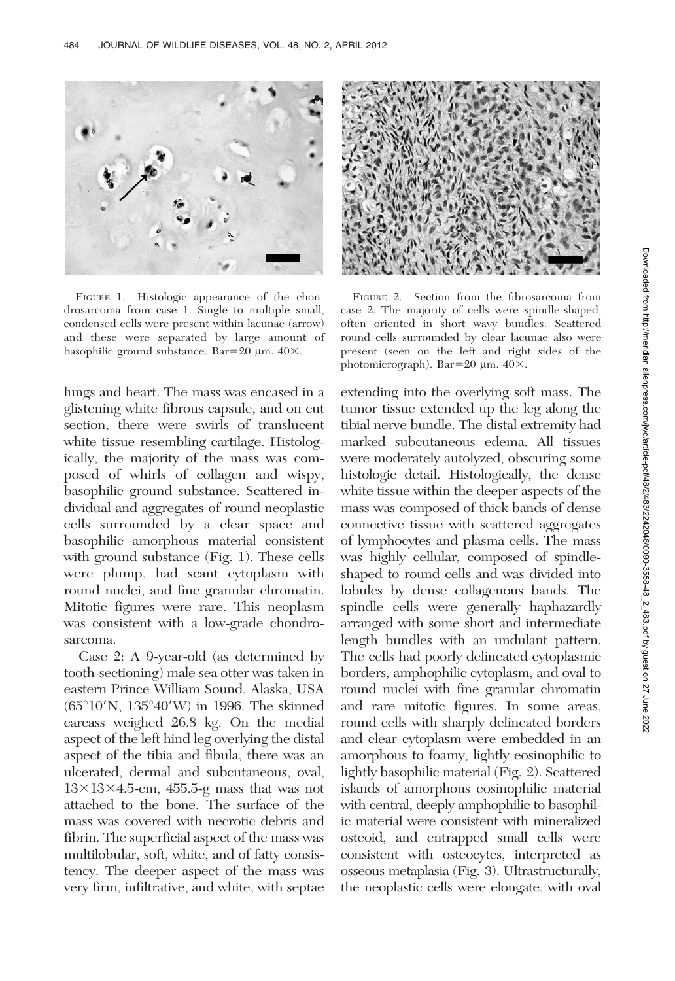

FIGURE 1. Histologic appearance of the chondrosarcoma from case 1. Single to multiple small, condensed cells were present within lacunae (arrow) and these were separated by large amount of basophilic ground substance. Bar=20  $\mu$ m. 40 $\times$ .

lungs and heart. The mass was encased in a glistening white fibrous capsule, and on cut section, there were swirls of translucent white tissue resembling cartilage. Histologically, the majority of the mass was composed of whirls of collagen and wispy, basophilic ground substance. Scattered individual and aggregates of round neoplastic cells surrounded by a clear space and basophilic amorphous material consistent with ground substance (Fig. 1). These cells were plump, had scant cytoplasm with round nuclei, and fine granular chromatin. Mitotic figures were rare. This neoplasm was consistent with a low-grade chondrosarcoma.

Case 2: A 9-year-old (as determined by tooth-sectioning) male sea otter was taken in eastern Prince William Sound, Alaska, USA  $(65^{\circ}10^{\prime}N, 135^{\circ}40^{\prime}W)$  in 1996. The skinned carcass weighed 26.8 kg. On the medial aspect of the left hind leg overlying the distal aspect of the tibia and fibula, there was an ulcerated, dermal and subcutaneous, oval,  $13\times13\times4.5$ -cm,  $455.5$ -g mass that was not attached to the bone. The surface of the mass was covered with necrotic debris and fibrin. The superficial aspect of the mass was multilobular, soft, white, and of fatty consistency. The deeper aspect of the mass was very firm, infiltrative, and white, with septae



FIGURE 2. Section from the fibrosarcoma from case 2. The majority of cells were spindle-shaped, often oriented in short wavy bundles. Scattered round cells surrounded by clear lacunae also were present (seen on the left and right sides of the photomicrograph). Bar=20  $\mu$ m. 40 $\times$ .

extending into the overlying soft mass. The tumor tissue extended up the leg along the tibial nerve bundle. The distal extremity had marked subcutaneous edema. All tissues were moderately autolyzed, obscuring some histologic detail. Histologically, the dense white tissue within the deeper aspects of the mass was composed of thick bands of dense connective tissue with scattered aggregates of lymphocytes and plasma cells. The mass was highly cellular, composed of spindleshaped to round cells and was divided into lobules by dense collagenous bands. The spindle cells were generally haphazardly arranged with some short and intermediate length bundles with an undulant pattern. The cells had poorly delineated cytoplasmic borders, amphophilic cytoplasm, and oval to round nuclei with fine granular chromatin and rare mitotic figures. In some areas, round cells with sharply delineated borders and clear cytoplasm were embedded in an amorphous to foamy, lightly eosinophilic to lightly basophilic material (Fig. 2). Scattered islands of amorphous eosinophilic material with central, deeply amphophilic to basophilic material were consistent with mineralized osteoid, and entrapped small cells were consistent with osteocytes, interpreted as osseous metaplasia (Fig. 3). Ultrastructurally, the neoplastic cells were elongate, with oval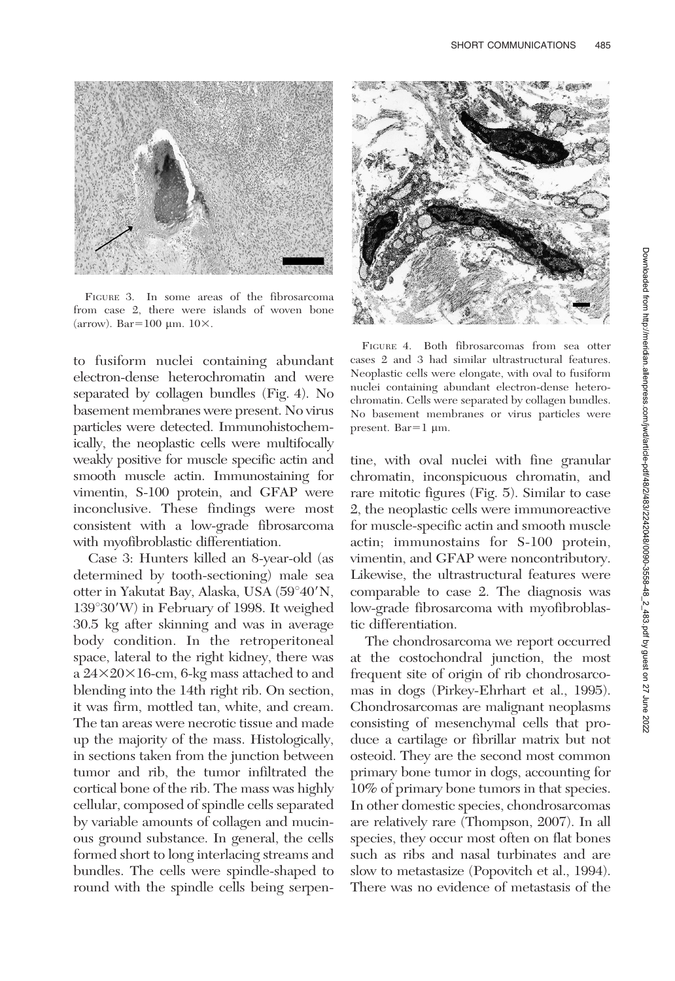

FIGURE 3. In some areas of the fibrosarcoma from case 2, there were islands of woven bone (arrow). Bar=100  $\mu$ m. 10 $\times$ .

to fusiform nuclei containing abundant electron-dense heterochromatin and were separated by collagen bundles (Fig. 4). No basement membranes were present. No virus particles were detected. Immunohistochemically, the neoplastic cells were multifocally weakly positive for muscle specific actin and smooth muscle actin. Immunostaining for vimentin, S-100 protein, and GFAP were inconclusive. These findings were most consistent with a low-grade fibrosarcoma with myofibroblastic differentiation.

Case 3: Hunters killed an 8-year-old (as determined by tooth-sectioning) male sea otter in Yakutat Bay, Alaska, USA (59°40'N,  $139^{\circ}30'$ W) in February of 1998. It weighed 30.5 kg after skinning and was in average body condition. In the retroperitoneal space, lateral to the right kidney, there was a  $24\times20\times16$ -cm, 6-kg mass attached to and blending into the 14th right rib. On section, it was firm, mottled tan, white, and cream. The tan areas were necrotic tissue and made up the majority of the mass. Histologically, in sections taken from the junction between tumor and rib, the tumor infiltrated the cortical bone of the rib. The mass was highly cellular, composed of spindle cells separated by variable amounts of collagen and mucinous ground substance. In general, the cells formed short to long interlacing streams and bundles. The cells were spindle-shaped to round with the spindle cells being serpen-



FIGURE 4. Both fibrosarcomas from sea otter cases 2 and 3 had similar ultrastructural features. Neoplastic cells were elongate, with oval to fusiform nuclei containing abundant electron-dense heterochromatin. Cells were separated by collagen bundles. No basement membranes or virus particles were present.  $Bar=1 \mu m$ .

tine, with oval nuclei with fine granular chromatin, inconspicuous chromatin, and rare mitotic figures (Fig. 5). Similar to case 2, the neoplastic cells were immunoreactive for muscle-specific actin and smooth muscle actin; immunostains for S-100 protein, vimentin, and GFAP were noncontributory. Likewise, the ultrastructural features were comparable to case 2. The diagnosis was low-grade fibrosarcoma with myofibroblastic differentiation.

The chondrosarcoma we report occurred at the costochondral junction, the most frequent site of origin of rib chondrosarcomas in dogs (Pirkey-Ehrhart et al., 1995). Chondrosarcomas are malignant neoplasms consisting of mesenchymal cells that produce a cartilage or fibrillar matrix but not osteoid. They are the second most common primary bone tumor in dogs, accounting for 10% of primary bone tumors in that species. In other domestic species, chondrosarcomas are relatively rare (Thompson, 2007). In all species, they occur most often on flat bones such as ribs and nasal turbinates and are slow to metastasize (Popovitch et al., 1994). There was no evidence of metastasis of the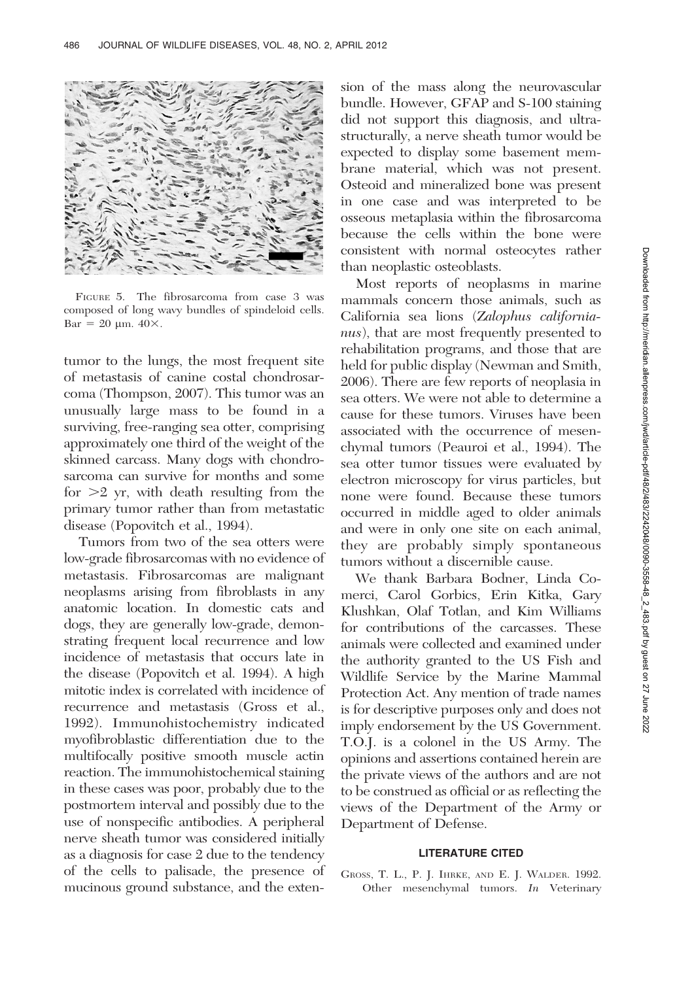

FIGURE 5. The fibrosarcoma from case 3 was composed of long wavy bundles of spindeloid cells.  $Bar = 20 \text{ µm}. 40 \times.$ 

tumor to the lungs, the most frequent site of metastasis of canine costal chondrosarcoma (Thompson, 2007). This tumor was an unusually large mass to be found in a surviving, free-ranging sea otter, comprising approximately one third of the weight of the skinned carcass. Many dogs with chondrosarcoma can survive for months and some for  $>2$  yr, with death resulting from the primary tumor rather than from metastatic disease (Popovitch et al., 1994).

Tumors from two of the sea otters were low-grade fibrosarcomas with no evidence of metastasis. Fibrosarcomas are malignant neoplasms arising from fibroblasts in any anatomic location. In domestic cats and dogs, they are generally low-grade, demonstrating frequent local recurrence and low incidence of metastasis that occurs late in the disease (Popovitch et al. 1994). A high mitotic index is correlated with incidence of recurrence and metastasis (Gross et al., 1992). Immunohistochemistry indicated myofibroblastic differentiation due to the multifocally positive smooth muscle actin reaction. The immunohistochemical staining in these cases was poor, probably due to the postmortem interval and possibly due to the use of nonspecific antibodies. A peripheral nerve sheath tumor was considered initially as a diagnosis for case 2 due to the tendency of the cells to palisade, the presence of mucinous ground substance, and the extension of the mass along the neurovascular bundle. However, GFAP and S-100 staining did not support this diagnosis, and ultrastructurally, a nerve sheath tumor would be expected to display some basement membrane material, which was not present. Osteoid and mineralized bone was present in one case and was interpreted to be osseous metaplasia within the fibrosarcoma because the cells within the bone were consistent with normal osteocytes rather than neoplastic osteoblasts.

Most reports of neoplasms in marine mammals concern those animals, such as California sea lions (Zalophus californianus), that are most frequently presented to rehabilitation programs, and those that are held for public display (Newman and Smith, 2006). There are few reports of neoplasia in sea otters. We were not able to determine a cause for these tumors. Viruses have been associated with the occurrence of mesenchymal tumors (Peauroi et al., 1994). The sea otter tumor tissues were evaluated by electron microscopy for virus particles, but none were found. Because these tumors occurred in middle aged to older animals and were in only one site on each animal, they are probably simply spontaneous tumors without a discernible cause.

We thank Barbara Bodner, Linda Comerci, Carol Gorbics, Erin Kitka, Gary Klushkan, Olaf Totlan, and Kim Williams for contributions of the carcasses. These animals were collected and examined under the authority granted to the US Fish and Wildlife Service by the Marine Mammal Protection Act. Any mention of trade names is for descriptive purposes only and does not imply endorsement by the US Government. T.O.J. is a colonel in the US Army. The opinions and assertions contained herein are the private views of the authors and are not to be construed as official or as reflecting the views of the Department of the Army or Department of Defense.

## LITERATURE CITED

GROSS, T. L., P. J. IHRKE, AND E. J. WALDER. 1992. Other mesenchymal tumors. In Veterinary